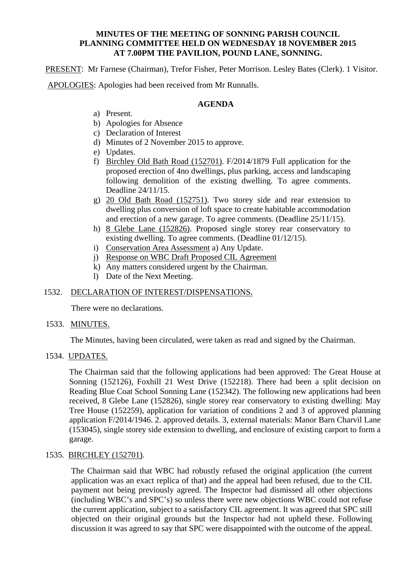#### **MINUTES OF THE MEETING OF SONNING PARISH COUNCIL PLANNING COMMITTEE HELD ON WEDNESDAY 18 NOVEMBER 2015 AT 7.00PM THE PAVILION, POUND LANE, SONNING.**

PRESENT: Mr Farnese (Chairman), Trefor Fisher, Peter Morrison. Lesley Bates (Clerk). 1 Visitor.

APOLOGIES: Apologies had been received from Mr Runnalls.

### **AGENDA**

- a) Present.
- b) Apologies for Absence
- c) Declaration of Interest
- d) Minutes of 2 November 2015 to approve.
- e) Updates.
- f) Birchley Old Bath Road (152701). F/2014/1879 Full application for the proposed erection of 4no dwellings, plus parking, access and landscaping following demolition of the existing dwelling. To agree comments. Deadline 24/11/15.
- g) 20 Old Bath Road (152751). Two storey side and rear extension to dwelling plus conversion of loft space to create habitable accommodation and erection of a new garage. To agree comments. (Deadline 25/11/15).
- h) 8 Glebe Lane (152826). Proposed single storey rear conservatory to existing dwelling. To agree comments. (Deadline 01/12/15).
- i) Conservation Area Assessment a) Any Update.
- j) Response on WBC Draft Proposed CIL Agreement
- k) Any matters considered urgent by the Chairman.
- l) Date of the Next Meeting.

# 1532. DECLARATION OF INTEREST/DISPENSATIONS.

There were no declarations.

### 1533. MINUTES.

The Minutes, having been circulated, were taken as read and signed by the Chairman.

### 1534. UPDATES.

The Chairman said that the following applications had been approved: The Great House at Sonning (152126), Foxhill 21 West Drive (152218). There had been a split decision on Reading Blue Coat School Sonning Lane (152342). The following new applications had been received, 8 Glebe Lane (152826), single storey rear conservatory to existing dwelling: May Tree House (152259), application for variation of conditions 2 and 3 of approved planning application F/2014/1946. 2. approved details. 3, external materials: Manor Barn Charvil Lane (153045), single storey side extension to dwelling, and enclosure of existing carport to form a garage.

# 1535. BIRCHLEY (152701).

The Chairman said that WBC had robustly refused the original application (the current application was an exact replica of that) and the appeal had been refused, due to the CIL payment not being previously agreed. The Inspector had dismissed all other objections (including WBC's and SPC's) so unless there were new objections WBC could not refuse the current application, subject to a satisfactory CIL agreement. It was agreed that SPC still objected on their original grounds but the Inspector had not upheld these. Following discussion it was agreed to say that SPC were disappointed with the outcome of the appeal.